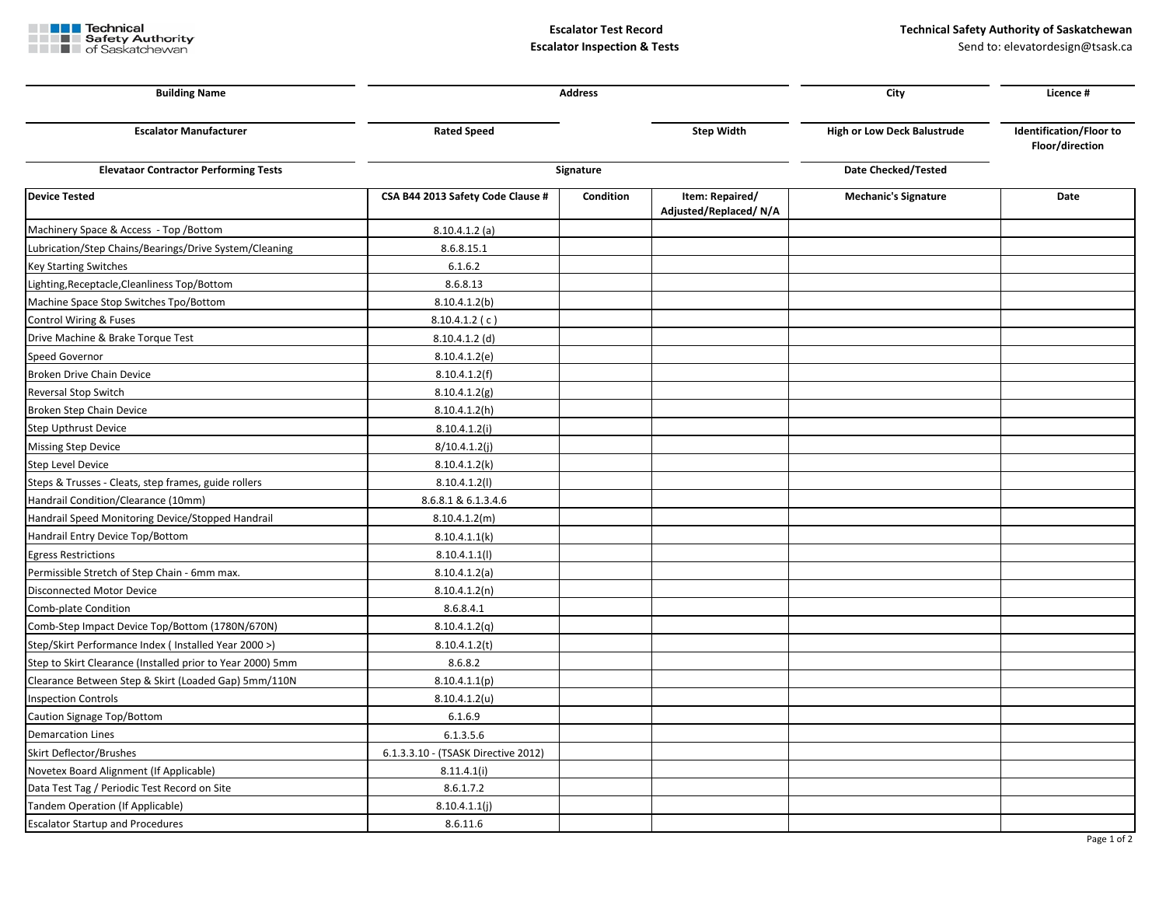

**Escalator Inspection & Tests Send to: elevatordesign@tsask.ca Send to: elevatordesign@tsask.ca** 

| <b>Building Name</b>                                       | <b>Address</b>                      |           |                                          | City                               | Licence #                                         |
|------------------------------------------------------------|-------------------------------------|-----------|------------------------------------------|------------------------------------|---------------------------------------------------|
| <b>Escalator Manufacturer</b>                              | <b>Rated Speed</b>                  |           | <b>Step Width</b>                        | <b>High or Low Deck Balustrude</b> | <b>Identification/Floor to</b><br>Floor/direction |
| <b>Elevataor Contractor Performing Tests</b>               | Signature                           |           |                                          | Date Checked/Tested                |                                                   |
| <b>Device Tested</b>                                       | CSA B44 2013 Safety Code Clause #   | Condition | Item: Repaired/<br>Adjusted/Replaced/N/A | <b>Mechanic's Signature</b>        | Date                                              |
| Machinery Space & Access - Top / Bottom                    | $8.10.4.1.2$ (a)                    |           |                                          |                                    |                                                   |
| Lubrication/Step Chains/Bearings/Drive System/Cleaning     | 8.6.8.15.1                          |           |                                          |                                    |                                                   |
| <b>Key Starting Switches</b>                               | 6.1.6.2                             |           |                                          |                                    |                                                   |
| Lighting, Receptacle, Cleanliness Top/Bottom               | 8.6.8.13                            |           |                                          |                                    |                                                   |
| Machine Space Stop Switches Tpo/Bottom                     | 8.10.4.1.2(b)                       |           |                                          |                                    |                                                   |
| Control Wiring & Fuses                                     | 8.10.4.1.2(c)                       |           |                                          |                                    |                                                   |
| Drive Machine & Brake Torque Test                          | $8.10.4.1.2$ (d)                    |           |                                          |                                    |                                                   |
| Speed Governor                                             | 8.10.4.1.2(e)                       |           |                                          |                                    |                                                   |
| Broken Drive Chain Device                                  | 8.10.4.1.2(f)                       |           |                                          |                                    |                                                   |
| Reversal Stop Switch                                       | 8.10.4.1.2(g)                       |           |                                          |                                    |                                                   |
| Broken Step Chain Device                                   | 8.10.4.1.2(h)                       |           |                                          |                                    |                                                   |
| Step Upthrust Device                                       | 8.10.4.1.2(i)                       |           |                                          |                                    |                                                   |
| <b>Missing Step Device</b>                                 | 8/10.4.1.2(j)                       |           |                                          |                                    |                                                   |
| Step Level Device                                          | 8.10.4.1.2(k)                       |           |                                          |                                    |                                                   |
| Steps & Trusses - Cleats, step frames, guide rollers       | 8.10.4.1.2(1)                       |           |                                          |                                    |                                                   |
| Handrail Condition/Clearance (10mm)                        | 8.6.8.1 & 6.1.3.4.6                 |           |                                          |                                    |                                                   |
| Handrail Speed Monitoring Device/Stopped Handrail          | 8.10.4.1.2(m)                       |           |                                          |                                    |                                                   |
| Handrail Entry Device Top/Bottom                           | 8.10.4.1.1(k)                       |           |                                          |                                    |                                                   |
| <b>Egress Restrictions</b>                                 | 8.10.4.1.1(1)                       |           |                                          |                                    |                                                   |
| Permissible Stretch of Step Chain - 6mm max.               | 8.10.4.1.2(a)                       |           |                                          |                                    |                                                   |
| Disconnected Motor Device                                  | 8.10.4.1.2(n)                       |           |                                          |                                    |                                                   |
| Comb-plate Condition                                       | 8.6.8.4.1                           |           |                                          |                                    |                                                   |
| Comb-Step Impact Device Top/Bottom (1780N/670N)            | 8.10.4.1.2(q)                       |           |                                          |                                    |                                                   |
| Step/Skirt Performance Index (Installed Year 2000 >)       | 8.10.4.1.2(t)                       |           |                                          |                                    |                                                   |
| Step to Skirt Clearance (Installed prior to Year 2000) 5mm | 8.6.8.2                             |           |                                          |                                    |                                                   |
| Clearance Between Step & Skirt (Loaded Gap) 5mm/110N       | 8.10.4.1.1(p)                       |           |                                          |                                    |                                                   |
| <b>Inspection Controls</b>                                 | 8.10.4.1.2(u)                       |           |                                          |                                    |                                                   |
| Caution Signage Top/Bottom                                 | 6.1.6.9                             |           |                                          |                                    |                                                   |
| <b>Demarcation Lines</b>                                   | 6.1.3.5.6                           |           |                                          |                                    |                                                   |
| Skirt Deflector/Brushes                                    | 6.1.3.3.10 - (TSASK Directive 2012) |           |                                          |                                    |                                                   |
| Novetex Board Alignment (If Applicable)                    | 8.11.4.1(i)                         |           |                                          |                                    |                                                   |
| Data Test Tag / Periodic Test Record on Site               | 8.6.1.7.2                           |           |                                          |                                    |                                                   |
| Tandem Operation (If Applicable)                           | 8.10.4.1.1(j)                       |           |                                          |                                    |                                                   |
| <b>Escalator Startup and Procedures</b>                    | 8.6.11.6                            |           |                                          |                                    |                                                   |